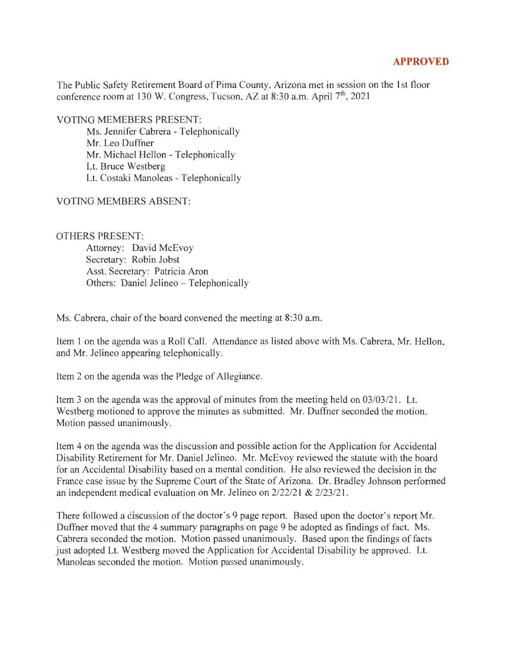## **APPROVED**

The Public Safety Retirement Board of Pima County, Arizona met in session on the 1st floor conference room at 130 W. Congress, Tucson, AZ at 8:30 a.m. April  $7<sup>th</sup>$ , 2021

VOTING MEMEBERS PRESENT:

Ms. Jennifer Cabrera - Telephonically Mr. Leo Duffner Mr. Michael Hellon - Telephonically Lt. Bruce Westberg Lt. Costaki Manoleas - Telephonically

## VOTING MEMBERS ABSENT:

## OTHERS PRESENT:

Attorney: David McEvoy Secretary: Robin Jobst Asst. Secretary: Patricia Aron Others: Daniel Jelineo - Telephonically

Ms. Cabrera, chair of the board convened the meeting at 8:30 a.m.

Item 1 on the agenda was a Roll Call. Attendance as listed above with Ms. Cabrera, Mr. Hellon, and Mr. Jelineo appearing telephonically.

Item 2 on the agenda was the Pledge of Allegiance.

Item 3 on the agenda was the approval of minutes from the meeting held on 03/03/21. Lt. Westberg motioned to approve the minutes as submitted. Mr. Duffner seconded the motion. Motion passed unanimously.

Item 4 on the agenda was the discussion and possible action for the Application for Accidental Disability Retirement for Mr. Daniel Jelineo. Mr. McEvoy reviewed the statute with the board for an Accidental Disability based on a mental condition. He also reviewed the decision in the France case issue by the Supreme Court of the State of Arizona. Dr. Bradley Johnson performed an independent medical evaluation on Mr. Jelineo on 2/22/21 & 2/23/21.

There followed a ciscussion of the doctor's 9 page report. Based upon the doctor's report Mr. Duffner moved that the 4 summary paragraphs on page 9 be adopted as findings of fact. Ms. Cabrera seconded the motion. Motion passed unanimously. Based upon the findings of facts just adopted Lt. Westberg moved the Application for Accidental Disability be approved. Lt. Manoleas seconded the motion. Motion passed unanimously.